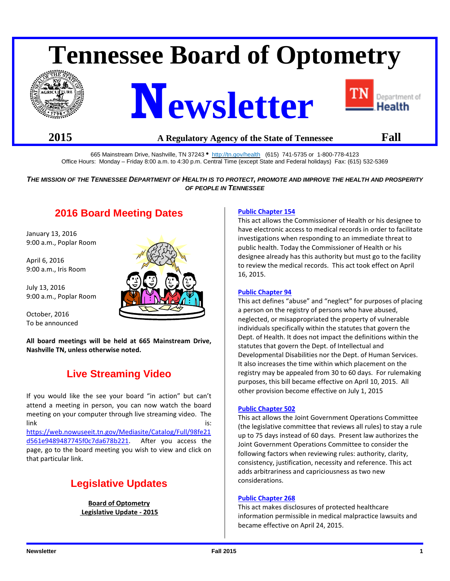# **Tennessee Board of Optometry**







## **2015 A Regulatory Agency of the State of Tennessee Fall**

665 Mainstream Drive, Nashville, TN 37243 · <http://tn.gov/health>(615) 741-5735 or 1-800-778-4123 Office Hours: Monday – Friday 8:00 a.m. to 4:30 p.m. Central Time (except State and Federal holidays) Fax: (615) 532-5369

#### *THE MISSION OF THE TENNESSEE DEPARTMENT OF HEALTH IS TO PROTECT, PROMOTE AND IMPROVE THE HEALTH AND PROSPERITY OF PEOPLE IN TENNESSEE*

# **2016 Board Meeting Dates**

January 13, 2016 9:00 a.m., Poplar Room

April 6, 2016 9:00 a.m., Iris Room

July 13, 2016 9:00 a.m., Poplar Room

October, 2016 To be announced

that particular link.

**All board meetings will be held at 665 Mainstream Drive, Nashville TN, unless otherwise noted.**

# **Live Streaming Video**

If you would like the see your board "in action" but can't attend a meeting in person, you can now watch the board meeting on your computer through live streaming video. The link is: the contract of the contract of the contract of the contract of the contract of the contract of the contract of the contract of the contract of the contract of the contract of the contract of the contract of the c [https://web.nowuseeit.tn.gov/Mediasite/Catalog/Full/98fe21](https://web.nowuseeit.tn.gov/Mediasite/Catalog/Full/98fe21d561e9489487745f0c7da678b221) [d561e9489487745f0c7da678b221.](https://web.nowuseeit.tn.gov/Mediasite/Catalog/Full/98fe21d561e9489487745f0c7da678b221) After you access the page, go to the board meeting you wish to view and click on

# **Legislative Updates**

**Board of Optometry Legislative Update - 2015**

#### **[Public Chapter 154](http://state.tn.us/sos/acts/109/pub/pc0154.pdf)**

This act allows the Commissioner of Health or his designee to have electronic access to medical records in order to facilitate investigations when responding to an immediate threat to public health. Today the Commissioner of Health or his designee already has this authority but must go to the facility to review the medical records. This act took effect on April 16, 2015.

#### **[Public Chapter 94](http://state.tn.us/sos/acts/109/pub/pc0094.pdf)**

This act defines "abuse" and "neglect" for purposes of placing a person on the registry of persons who have abused, neglected, or misappropriated the property of vulnerable individuals specifically within the statutes that govern the Dept. of Health. It does not impact the definitions within the statutes that govern the Dept. of Intellectual and Developmental Disabilities nor the Dept. of Human Services. It also increases the time within which placement on the registry may be appealed from 30 to 60 days. For rulemaking purposes, this bill became effective on April 10, 2015. All other provision become effective on July 1, 2015

#### **[Public Chapter 502](http://www.tn.gov/sos/acts/109/pub/pc0502.pdf)**

This act allows the Joint Government Operations Committee (the legislative committee that reviews all rules) to stay a rule up to 75 days instead of 60 days. Present law authorizes the Joint Government Operations Committee to consider the following factors when reviewing rules: authority, clarity, consistency, justification, necessity and reference. This act adds arbitrariness and capriciousness as two new considerations.

#### **Public Chapter 268**

This act makes disclosures of protected healthcare information permissible in medical malpractice lawsuits and became effective on April 24, 2015.

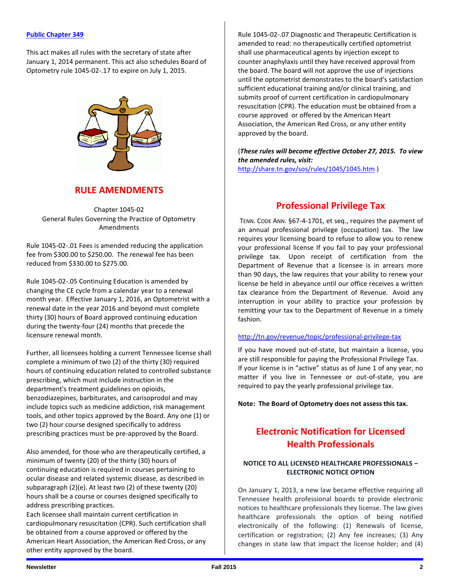#### **[Public Chapter 349](http://share.tn.gov/sos/acts/109/pub/pc0349.pdf)**

This act makes all rules with the secretary of state after January 1, 2014 permanent. This act also schedules Board of Optometry rule 1045-02-.17 to expire on July 1, 2015.



## **RULE AMENDMENTS**

Chapter 1045-02 General Rules Governing the Practice of Optometry Amendments

Rule 1045-02-.01 Fees is amended reducing the application fee from \$300.00 to \$250.00. The renewal fee has been reduced from \$330.00 to \$275.00.

Rule 1045-02-.05 Continuing Education is amended by changing the CE cycle from a calendar year to a renewal month year. Effective January 1, 2016, an Optometrist with a renewal date in the year 2016 and beyond must complete thirty (30) hours of Board approved continuing education during the twenty-four (24) months that precede the licensure renewal month.

Further, all licensees holding a current Tennessee license shall complete a minimum of two (2) of the thirty (30) required hours of continuing education related to controlled substance prescribing, which must include instruction in the department's treatment guidelines on opioids, benzodiazepines, barbiturates, and carisoprodol and may include topics such as medicine addiction, risk management tools, and other topics approved by the Board. Any one (1) or two (2) hour course designed specifically to address prescribing practices must be pre-approved by the Board.

Also amended, for those who are therapeutically certified, a minimum of twenty (20) of the thirty (30) hours of continuing education is required in courses pertaining to ocular disease and related systemic disease, as described in subparagraph (2)(e). At least two (2) of these twenty (20) hours shall be a course or courses designed specifically to address prescribing practices.

Each licensee shall maintain current certification in cardiopulmonary resuscitation (CPR). Such certification shall be obtained from a course approved or offered by the American Heart Association, the American Red Cross, or any other entity approved by the board.

Rule 1045-02-.07 Diagnostic and Therapeutic Certification is amended to read: no therapeutically certified optometrist shall use pharmaceutical agents by injection except to counter anaphylaxis until they have received approval from the board. The board will not approve the use of injections until the optometrist demonstrates to the board's satisfaction sufficient educational training and/or clinical training, and submits proof of current certification in cardiopulmonary resuscitation (CPR). The education must be obtained from a course approved or offered by the American Heart Association, the American Red Cross, or any other entity approved by the board.

(*These rules will become effective October 27, 2015. To view the amended rules, visit:*

<http://share.tn.gov/sos/rules/1045/1045.htm> )

## **Professional Privilege Tax**

TENN. CODE ANN. §67-4-1701, et seq., requires the payment of an annual professional privilege (occupation) tax. The law requires your licensing board to refuse to allow you to renew your professional license If you fail to pay your professional privilege tax. Upon receipt of certification from the Department of Revenue that a licensee is in arrears more than 90 days, the law requires that your ability to renew your license be held in abeyance until our office receives a written tax clearance from the Department of Revenue. Avoid any interruption in your ability to practice your profession by remitting your tax to the Department of Revenue in a timely fashion.

#### <http://tn.gov/revenue/topic/professional-privilege-tax>

If you have moved out-of-state, but maintain a license, you are still responsible for paying the Professional Privilege Tax. If your license is in "active" status as of June 1 of any year, no matter if you live in Tennessee or out-of-state, you are required to pay the yearly professional privilege tax.

**Note: The Board of Optometry does not assess this tax.** 

# **Electronic Notification for Licensed Health Professionals**

#### **NOTICE TO ALL LICENSED HEALTHCARE PROFESSIONALS – ELECTRONIC NOTICE OPTION**

On January 1, 2013, a new law became effective requiring all Tennessee health professional boards to provide electronic notices to healthcare professionals they license. The law gives healthcare professionals the option of being notified electronically of the following: (1) Renewals of license, certification or registration; (2) Any fee increases; (3) Any changes in state law that impact the license holder; and (4)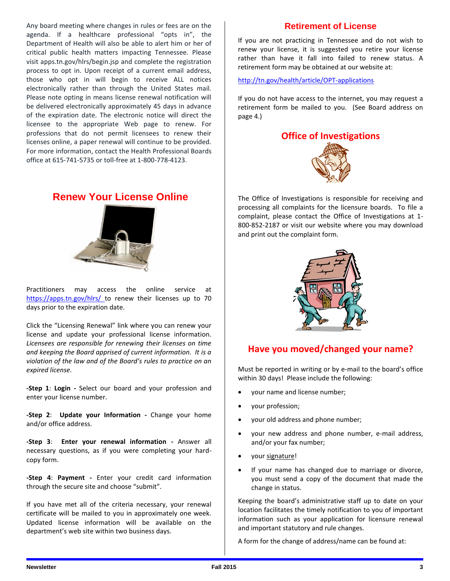Any board meeting where changes in rules or fees are on the agenda. If a healthcare professional "opts in", the Department of Health will also be able to alert him or her of critical public health matters impacting Tennessee. Please visit apps.tn.gov/hlrs/begin.jsp and complete the registration process to opt in. Upon receipt of a current email address, those who opt in will begin to receive ALL notices electronically rather than through the United States mail. Please note opting in means license renewal notification will be delivered electronically approximately 45 days in advance of the expiration date. The electronic notice will direct the licensee to the appropriate Web page to renew. For professions that do not permit licensees to renew their licenses online, a paper renewal will continue to be provided. For more information, contact the Health Professional Boards office at 615-741-5735 or toll-free at 1-800-778-4123.

# **Renew Your License Online**



Practitioners may access the online service at https://apps.tn.gov/hlrs/ to renew their licenses up to 70 days prior to the expiration date.

Click the "Licensing Renewal" link where you can renew your license and update your professional license information. *Licensees are responsible for renewing their licenses on time and keeping the Board apprised of current information. It is a violation of the law and of the Board's rules to practice on an expired license.*

**-Step 1**: **Login -** Select our board and your profession and enter your license number.

**-Step 2**: **Update your Information -** Change your home and/or office address.

**-Step 3**: **Enter your renewal information -** Answer all necessary questions, as if you were completing your hardcopy form.

**-Step 4**: **Payment -** Enter your credit card information through the secure site and choose "submit".

If you have met all of the criteria necessary, your renewal certificate will be mailed to you in approximately one week. Updated license information will be available on the department's web site within two business days.

## **Retirement of License**

If you are not practicing in Tennessee and do not wish to renew your license, it is suggested you retire your license rather than have it fall into failed to renew status. A retirement form may be obtained at our website at:

<http://tn.gov/health/article/OPT-applications>

If you do not have access to the internet, you may request a retirement form be mailed to you. (See Board address on page 4.)



The Office of Investigations is responsible for receiving and processing all complaints for the licensure boards. To file a complaint, please contact the Office of Investigations at 1- 800-852-2187 or visit our website where you may download and print out the complaint form.



# **Have you moved/changed your name?**

Must be reported in writing or by e-mail to the board's office within 30 days! Please include the following:

- your name and license number;
- your profession;
- your old address and phone number;
- your new address and phone number, e-mail address, and/or your fax number;
- your signature!
- If your name has changed due to marriage or divorce, you must send a copy of the document that made the change in status.

Keeping the board's administrative staff up to date on your location facilitates the timely notification to you of important information such as your application for licensure renewal and important statutory and rule changes.

A form for the change of address/name can be found at: